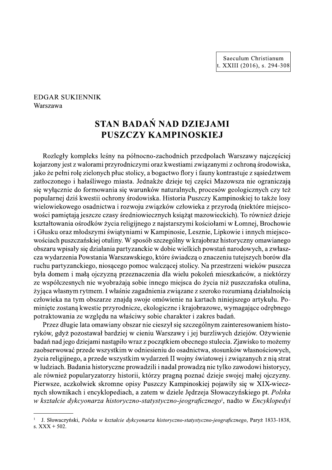Saeculum Christianum t. XXIII  $(2016)$ , s. 294-308

## **EDGAR SUKIENNIK** Warszawa

# STAN BADAŃ NAD DZIEJAMI PUSZCZY KAMPINOSKIEJ

Rozległy kompleks leśny na północno-zachodnich przedpolach Warszawy najczęściej kojarzony jest z walorami przyrodniczymi oraz kwestiami związanymi z ochroną środowiska, jako że pełni rolę zielonych płuc stolicy, a bogactwo flory i fauny kontrastuje z sąsiedztwem zatłoczonego i hałaśliwego miasta. Jednakże dzieje tej części Mazowsza nie ograniczają się wyłącznie do formowania się warunków naturalnych, procesów geologicznych czy też popularnej dziś kwestii ochrony środowiska. Historia Puszczy Kampinoskiej to także losy wielowiekowego osadnictwa i rozwoju związków człowieka z przyroda (niektóre miejscowości pamiętają jeszcze czasy średniowiecznych książąt mazowieckich). To również dzieje kształtowania ośrodków życia religiinego z najstarszymi kościołami w Łomnej. Brochowie i Głusku oraz młodszymi świątyniami w Kampinosie, Lesznie, Lipkowie i innych miejscowościach puszczańskiej otuliny. W sposób szczególny w krajobraz historyczny omawianego obszaru wpisały się działania partyzanckie w dobie wielkich powstań narodowych, a zwłaszcza wydarzenia Powstania Warszawskiego, które świadczą o znaczeniu tutejszych borów dla ruchu partyzanckiego, niosacego pomoc walczącej stolicy. Na przestrzeni wieków puszcza była domem i małą ojczyzną przeznaczenia dla wielu pokoleń mieszkańców, a niektórzy ze współczesnych nie wyobrażają sobie innego miejsca do życia niż puszczańska otulina, żyjąca własnym rytmem. I właśnie zagadnienia związane z szeroko rozumianą działalnością człowieka na tym obszarze znajdą swoje omówienie na kartach niniejszego artykułu. Pominiete zostaną kwestie przyrodnicze, ekologiczne i krajobrazowe, wymagające odrębnego potraktowania ze względu na właściwy sobie charakter i zakres badań.

Przez długie lata omawiany obszar nie cieszył się szczególnym zainteresowaniem historyków, gdyż pozostawał bardziej w cieniu Warszawy i jej burzliwych dziejów. Ożywienie badań nad jego dziejami nastąpiło wraz z początkiem obecnego stulecia. Zjawisko to możemy zaobserwować przede wszystkim w odniesieniu do osadnictwa, stosunków własnościowych, życia religijnego, a przede wszystkim wydarzeń II wojny światowej i związanych z nią strat w ludziach. Badania historyczne prowadzili i nadal prowadzą nie tylko zawodowi historycy, ale również popularyzatorzy historii, którzy pragną poznać dzieje swojej małej ojczyzny. Pierwsze, aczkolwiek skromne opisy Puszczy Kampinoskiej pojawiły się w XIX-wiecznych słownikach i encyklopediach, a zatem w dziele Jędrzeja Słowaczyńskiego pt. Polska w kształcie dykcyonarza historyczno-statystyczno-jeograficznego<sup>†</sup>, nadto w Encyklopedyi

J. Słowaczyński, Polska w kształcie dykcyonarza historyczno-statystyczno-jeograficznego, Paryż 1833-1838, s.  $XXX + 502$ .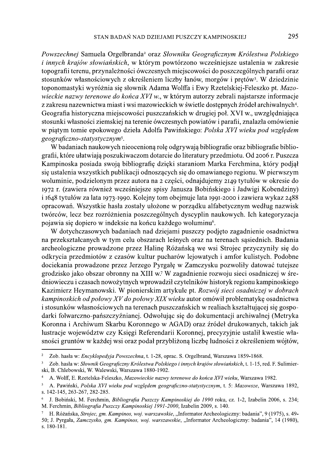Powszechnej Samuela Orgelbranda<sup>2</sup> oraz Słowniku Geograficznym Królestwa Polskiego *i innych krajów słowiańskich*, w którym powtórzono wcześniejsze ustalenia w zakresie topografii terenu, przynależności ówczesnych miejscowości do poszczególnych parafii oraz stosunków własnościowych z określeniem liczby łanów, morgów i prętów<sup>3</sup>. W dziedzinie toponomastyki wyróżnia się słownik Adama Wolffa i Ewy Rzetelskiej-Feleszko pt. Mazowieckie nazwy terenowe do końca XVI w., w którym autorzy zebrali najstarsze informacje z zakresu nazewnictwa miast i wsi mazowieckich w świetle dostępnych źródeł archiwalnych<sup>4</sup>. Geografia historyczna miejscowości puszczańskich w drugiej poł. XVI w., uwzględniająca stosunki własności ziemskiej na terenie ówczesnych powiatów i parafii, znalazła omówienie w piątym tomie epokowego dzieła Adolfa Pawińskiego: Polska XVI wieku pod względem geograficzno-statystycznym<sup>5</sup>.

W badaniach naukowych nieocenioną rolę odgrywają bibliografie oraz bibliografie bibliografii, które ułatwiają poszukiwaczom dotarcie do literatury przedmiotu. Od 2006 r. Puszcza Kampinoska posiada swoją bibliografię dzięki staraniom Marka Ferchmina, który podjął się ustalenia wszystkich publikacji odnoszących się do omawianego regionu. W pierwszym woluminie, podzielonym przez autora na 2 części, odnajdujemy 2149 tytułów w okresie do 1972 r. (zawiera również wcześniejsze spisy Janusza Bobińskiego i Jadwigi Kobendziny) i 1648 tytułów za lata 1973-1990. Kolejny tom obejmuje lata 1991-2000 i zawiera wykaz 2488 opracowań. Wszystkie hasła zostały ułożone w porządku alfabetycznym według nazwisk twórców, lecz bez rozróżnienia poszczególnych dyscyplin naukowych. Ich kategoryzacja pojawia się dopiero w indeksie na końcu każdego woluminu<sup>6</sup>.

W dotychczasowych badaniach nad dziejami puszczy podjęto zagadnienie osadnictwa na przekształcanych w tym celu obszarach leśnych oraz na terenach sąsiednich. Badania archeologiczne prowadzone przez Halinę Różańską we wsi Strojec przyczyniły się do odkrycia przedmiotów z czasów kultur pucharów lejowatych i amfor kulistych. Podobne dociekania prowadzone przez Jerzego Pyrgałę w Zamczysku pozwoliły datować tutejsze grodzisko jako obszar obronny na XIII w.7 W zagadnienie rozwoju sieci osadniczej w średniowieczu i czasach nowożytnych wprowadził czytelników historyk regionu kampinoskiego Kazimierz Heymanowski. W pionierskim artykule pt. Rozwój sieci osadniczej w dobrach kampinoskich od połowy XV do połowy XIX wieku autor omówił problematykę osadnictwa i stosunków własnościowych na terenach puszczańskich w realiach kształtującej się gospodarki folwarczno-pańszczyźnianej. Odwołując się do dokumentacji archiwalnej (Metryka Koronna i Archiwum Skarbu Koronnego w AGAD) oraz źródeł drukowanych, takich jak lustracje województw czy Księgi Referendarii Koronnej, precyzyjnie ustalił kwestie własności gruntów w każdej wsi oraz podał przybliżoną liczbę ludności z określeniem wójtów,

 $\overline{2}$ Zob. hasła w: Encyklopedyja Powszechna, t. 1-28, oprac. S. Orgelbrand, Warszawa 1859-1868.

Zob. hasła w: Słownik Geograficzny Królestwa Polskiego i innych krajów słowiańskich, t. 1-15, red. F. Sulimier- $\overline{\mathbf{3}}$ ski, B. Chlebowski, W. Walewski, Warszawa 1880-1902.

A. Wolff, E. Rzetelska-Feleszko, Mazowieckie nazwy terenowe do końca XVI wieku, Warszawa 1982.

 $\overline{\mathbf{5}}$ A. Pawiński, Polska XVI wieku pod wzgledem geograficzno-statystycznym, t. 5: Mazowsze, Warszawa 1892, s. 142-145, 263-267, 282-285.

J. Bobiński, M. Ferchmin, Bibliografia Puszczy Kampinoskiej do 1990 roku, cz. 1-2, Izabelin 2006, s. 234; M. Ferchmin, Bibliografia Puszczy Kampinoskiej 1991-2000, Izabelin 2009, s. 140.

H. Różańska, Strojec, gm. Kampinos, woj. warszawskie, "Informator Archeologiczny: badania", 9 (1975), s. 49-50; J. Pyrgała, Zamczysko, gm. Kampinos, woj. warszawskie, "Informator Archeologiczny: badania", 14 (1980), s.  $180-181$ .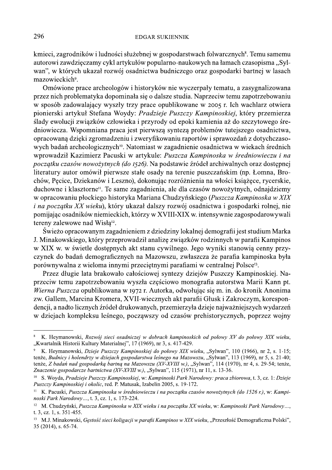### **EDGAR SUKIENNIK**

kmieci, zagrodników i ludności służebnej w gospodarstwach folwarcznych<sup>8</sup>. Temu samemu autorowi zawdzięczamy cykl artykułów popularno-naukowych na łamach czasopisma "Sylwan", w których ukazał rozwój osadnictwa budniczego oraz gospodarki bartnej w lasach mazowieckich<sup>9</sup>.

Omówione prace archeologów i historyków nie wyczerpały tematu, a zasygnalizowana przez nich problematyka dopominała się o dalsze studia. Naprzeciw temu zapotrzebowaniu w sposób zadowalający wyszły trzy prace opublikowane w 2005 r. Ich wachlarz otwiera pionierski artykuł Stefana Woydy: Pradzieje Puszczy Kampinoskiej, który przemierza ślady ewolucji związków człowieka i przyrody od epoki kamienia aż do szczytowego średniowiecza. Wspomniana praca jest pierwszą syntezą problemów tutejszego osadnictwa, opracowaną dzięki zgromadzeniu i zweryfikowaniu raportów i sprawozdań z dotychczasowych badań archeologicznych<sup>10</sup>. Natomiast w zagadnienie osadnictwa w wiekach średnich wprowadził Kazimierz Pacuski w artykule: Puszcza Kampinoska w średniowieczu i na początku czasów nowożytnych (do 1526). Na podstawie źródeł archiwalnych oraz dostępnej literatury autor omówił pierwsze stałe osady na terenie puszczańskim (np. Łomna, Brochów, Pęcice, Dziekanów i Leszno), dokonując rozróżnienia na włości książęce, rycerskie, duchowne i klasztorne<sup>11</sup>. Te same zagadnienia, ale dla czasów nowożytnych, odnajdziemy w opracowaniu płockiego historyka Mariana Chudzyńskiego (Puszcza Kampinoska w XIX *i na początku XX wieku*), który ukazał dalszy rozwój osadnictwa i gospodarki rolnej, nie pomijając osadników niemieckich, którzy w XVIII-XIX w. intensywnie zagospodarowywali tereny zalewowe nad Wisła<sup>12</sup>.

Świeżo opracowanym zagadnieniem z dziedziny lokalnej demografii jest studium Marka J. Minakowskiego, który przeprowadził analizę związków rodzinnych w parafii Kampinos w XIX w. w świetle dostępnych akt stanu cywilnego. Jego wyniki stanowią cenny przyczynek do badań demograficznych na Mazowszu, zwłaszcza że parafia kampinoska była porównywalna z wieloma innymi przeciętnymi parafiami w centralnej Polsce<sup>13</sup>.

Przez długie lata brakowało całościowej syntezy dziejów Puszczy Kampinoskiej. Naprzeciw temu zapotrzebowaniu wyszła częściowo monografia autorstwa Marii Kann pt. Wierna Puszcza opublikowana w 1972 r. Autorka, odwołując się m. in. do kronik Anonima zw. Gallem, Marcina Kromera, XVII-wiecznych akt parafii Głusk i Zakroczym, korespondencji, a nadto licznych źródeł drukowanych, przemierzyła dzieje najważniejszych wydarzeń w dziejach kompleksu leśnego, począwszy od czasów prehistorycznych, poprzez wojny

K. Heymanowski, Rozwój sieci osadniczej w dobrach kampinoskich od połowy XV do połowy XIX wieku, "Kwartalnik Historii Kultury Materialnej", 17 (1969), nr 3, s. 417-429.

<sup>&</sup>lt;sup>9</sup> K. Heymanowski, *Dzieje Puszczy Kampinoskiej do połowy XIX wieku*, "Sylwan", 110 (1966), nr 2, s. 1-15; tenże, *Budnicy i holendrzy w dziejach gospodarstwa leśnego na Mazowszu*, "Sylwan", 113 (1969), nr 5, s. 21-40; tenże, Z badań nad gospodarką bartną na Mazowszu (XV-XVIII w.), "Sylwan", 114 (1970), nr 4, s. 29-54; tenże, Znaczenie gospodarcze bartnictwa (XV-XVIII w.), "Sylwan", 115 (1971), nr 11, s. 13-36.

<sup>&</sup>lt;sup>10</sup> S. Woyda, Pradzieje Puszczy Kampinoskiej, w: Kampinoski Park Narodowy: praca zbiorowa, t. 3, cz. 1: Dzieje Puszczy Kampinoskiej i okolic, red. P. Matusak, Izabelin 2005, s. 19-172.

 $11\,$ K. Pacuski, Puszcza Kampinoska w średniowieczu i na początku czasów nowożytnych (do 1526 r.), w: Kampinoski Park Narodowy..., t. 3, cz. 1, s. 173-224.

<sup>&</sup>lt;sup>12</sup> M. Chudzyński, Puszcza Kampinoska w XIX wieku i na początku XX wieku, w: Kampinoski Park Narodowy..., t. 3, cz. 1, s. 351-455.

<sup>&</sup>lt;sup>13</sup> M.J. Minakowski, *Gestość sieci koligacji w parafii Kampinos w XIX wieku*, "Przeszłość Demograficzna Polski", 35 (2014), s. 65-74.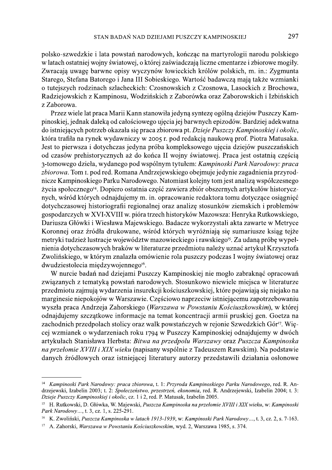polsko-szwedzkie i lata powstań narodowych, kończąc na martyrologii narodu polskiego w latach ostatniej wojny światowej, o której zaświadczają liczne cmentarze i zbiorowe mogiły. Zwracają uwagę barwne opisy wyczynów łowieckich królów polskich, m. in.: Zygmunta Starego, Stefana Batorego i Jana III Sobieskiego. Wartość badawczą mają także wzmianki o tutejszych rodzinach szlacheckich: Czosnowskich z Czosnowa, Lasockich z Brochowa, Radziejowskich z Kampinosu, Wodzińskich z Zaborówka oraz Zaborowskich i Izbińskich z Zaborowa.

Przez wiele lat praca Marii Kann stanowiła jedyną syntezę ogólną dziejów Puszczy Kampinoskiej, jednak daleką od całościowego ujęcia jej barwnych epizodów. Bardziej adekwatna do istniejących potrzeb okazała się praca zbiorowa pt. Dzieje Puszczy Kampinoskiej i okolic, która trafiła na rynek wydawniczy w 2005 r. pod redakcją naukową prof. Piotra Matusaka. Jest to pierwsza i dotychczas jedyna próba kompleksowego ujęcia dziejów puszczańskich od czasów prehistorycznych aż do końca II wojny światowej. Praca jest ostatnią częścią 3-tomowego dzieła, wydanego pod wspólnym tytułem: Kampinoski Park Narodowy: praca zbiorowa. Tom I. pod red. Romana Andrzejewskiego obejmuje jedynie zagadnienia przyrodnicze Kampinoskiego Parku Narodowego. Natomiast kolejny tom jest analizą współczesnego życia społecznego<sup>14</sup>. Dopiero ostatnia część zawiera zbiór obszernych artykułów historycznych, wśród których odnajdujemy m. in. opracowanie redaktora tomu dotyczące osiągnięć dotychczasowej historiografii regionalnej oraz analizę stosunków ziemskich i problemów gospodarczych w XVI-XVIII w. pióra trzech historyków Mazowsza: Henryka Rutkowskiego, Dariusza Główki i Wiesława Majewskiego. Badacze wykorzystali akta zawarte w Metryce Koronnej oraz źródła drukowane, wśród których wyróżniają się sumariusze ksiąg tejże metryki tudzież lustracje województw mazowieckiego i rawskiego<sup>15</sup>. Za udaną próbę wypełnienia dotychczasowych braków w literaturze przedmiotu należy uznać artykuł Krzysztofa Zwolińskiego, w którym znalazła omówienie rola puszczy podczas I wojny światowej oraz dwudziestolecia międzywojennego<sup>16</sup>.

W nurcie badań nad dziejami Puszczy Kampinoskiej nie mogło zabraknąć opracowań związanych z tematyką powstań narodowych. Stosunkowo niewiele miejsca w literaturze przedmiotu zajmują wydarzenia insurekcji kościuszkowskiej, które pojawiają się niejako na marginesie niepokojów w Warszawie. Częściowo naprzeciw istniejącemu zapotrzebowaniu wyszła praca Andrzeja Zahorskiego (Warszawa w Powstaniu Kościuszkowskim), w której odnajdujemy szczątkowe informacje na temat koncentracji armii pruskiej gen. Goetza na zachodnich przedpolach stolicy oraz walk powstańczych w rejonie Szwedzkich Gór<sup>17</sup>. Więcej wzmianek o wydarzeniach roku 1794 w Puszczy Kampinoskiej odnajdujemy w dwóch artykułach Stanisława Herbsta: Bitwa na przedpolu Warszawy oraz Puszcza Kampinoska na przełomie XVIII i XIX wieku (napisany wspólnie z Tadeuszem Rawskim). Na podstawie danych źródłowych oraz istniejącej literatury autorzy przedstawili działania osłonowe

<sup>&</sup>lt;sup>14</sup> Kampinoski Park Narodowy: praca zbiorowa, t. 1: Przyroda Kampinoskiego Parku Narodowego, red. R. Andrzejewski, Izabelin 2003; t. 2: Społeczeństwo, przestrzeń, ekonomia, red. R. Andrzejewski, Izabelin 2004; t. 3: Dzieje Puszczy Kampinoskiej i okolic, cz. 1 i 2, red. P. Matusak, Izabelin 2005.

<sup>&</sup>lt;sup>15</sup> H. Rutkowski, D. Główka, W. Majewski, Puszcza Kampinoska na przełomie XVIII i XIX wieku, w: Kampinoski Park Narodowy..., t. 3, cz. 1, s. 225-291.

<sup>16</sup> K. Zwoliński, Puszcza Kampinoska w latach 1913-1939, w: Kampinoski Park Narodowy..., t. 3, cz. 2, s. 7-163.

<sup>17</sup> A. Zahorski, Warszawa w Powstaniu Kościuszkowskim, wyd. 2, Warszawa 1985, s. 374.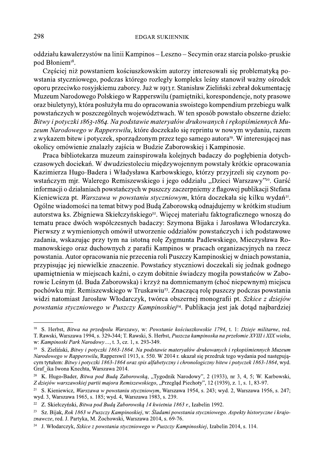oddziału kawalerzystów na linii Kampinos – Leszno – Secymin oraz starcia polsko-pruskie pod Błoniem<sup>18</sup>.

Częściej niż powstaniem kościuszkowskim autorzy interesowali się problematyką powstania styczniowego, podczas którego rozległy kompleks leśny stanowił ważny ośrodek oporu przeciwko rosyjskiemu zaborcy. Już w 1913 r. Stanisław Zieliński zebrał dokumentację Muzeum Narodowego Polskiego w Rapperswilu (pamiętniki, korespondencje, noty prasowe oraz biuletyny), która posłużyła mu do opracowania swoistego kompendium przebiegu walk powstańczych w poszczególnych województwach. W ten sposób powstało obszerne dzieło: Bitwy i potyczki 1863-1864. Na podstawie materyałów drukowanych i rekopiśmiennych Muzeum Narodowego w Rapperswilu, które doczekało się reprintu w nowym wydaniu, razem z wykazem bitew i potyczek, sporządzonym przez tego samego autora<sup>19</sup>. W interesującej nas okolicy omówienie znalazły zajścia w Budzie Zaborowskiej i Kampinosie.

Praca bibliotekarza muzeum zainspirowała kolejnych badaczy do pogłębienia dotychczasowych dociekań. W dwudziestoleciu międzywojennym powstały krótkie opracowania Kazimierza Hugo-Badera i Władysława Karbowskiego, którzy przyjrzeli się czynom powstańczym mjr. Walerego Remiszewskiego i jego oddziału "Dzieci Warszawy"<sup>20</sup>. Garść informacji o działaniach powstańczych w puszczy zaczerpniemy z flagowej publikacji Stefana Kieniewicza pt. Warszawa w powstaniu styczniowym, która doczekała się kilku wydań<sup>21</sup>. Ogólne wiadomości na temat bitwy pod Budą Zaborowską odnajdujemy w krótkim studium autorstwa ks. Zbigniewa Skiełczyńskiego<sup>22</sup>. Więcej materiału faktograficznego wnoszą do tematu prace dwóch współczesnych badaczy: Szymona Bijaka i Jarosława Włodarczyka. Pierwszy z wymienionych omówił utworzenie oddziałów powstańczych i ich podstawowe zadania, wskazując przy tym na istotną rolę Zygmunta Padlewskiego, Mieczysława Romanowskiego oraz duchownych z parafii Kampinos w pracach organizacyjnych na rzecz powstania. Autor opracowania nie przecenia roli Puszczy Kampinoskiej w dniach powstania, przypisując jej niewielkie znaczenie. Powstańcy styczniowi doczekali się jednak godnego upamietnienia w miejscach kaźni, o czym dobitnie świadczy mogiła powstańców w Zaborowie Leśnym (d. Buda Zaborowska) i krzyż na domniemanym (choć niepewnym) miejscu pochówku mir. Remiszewskiego w Truskawiu<sup>23</sup>. Znacząca rolę puszczy podczas powstania widzi natomiast Jarosław Włodarczyk, twórca obszernej monografii pt. Szkice z dziejów powstania styczniowego w Puszczy Kampinoskiej<sup>24</sup>. Publikacja jest jak dotąd najbardziej

<sup>&</sup>lt;sup>18</sup> S. Herbst, Bitwa na przedpolu Warszawy, w: Powstanie kościuszkowskie 1794, t. 1: Dzieje militarne, red. T. Rawski, Warszawa 1994, s. 329-344; T. Rawski, S. Herbst, Puszcza kampinoska na przełomie XVIII i XIX wieku, w: Kampinoski Park Narodowy..., t. 3, cz. 1, s. 293-349.

<sup>19</sup> S. Zieliński, Bitwy i potyczki 1863-1864. Na podstawie materyałów drukowanych i rękopiśmiennych Muzeum Narodowego w Rapperswilu, Rapperswil 1913, s. 550. W 2014 r. ukazał się przedruk tego wydania pod następującym tytułem: Bitwy i potyczki 1863-1864 oraz spis alfabetyczny i chronologiczny bitew i potyczek 1863-1864, wyd. Graf ika Iwona Knechta, Warszawa 2014.

<sup>&</sup>lt;sup>20</sup> K. Hugo-Bader, *Bitwa pod Budą Zaborowską*, "Tygodnik Narodowy", 2 (1933), nr 3, 4, 5; W. Karbowski, Z dziejów warszawskiej partii majora Remiszewskiego, "Przegląd Piechoty", 12 (1939), z. 1, s. 1, 83-97.

<sup>&</sup>lt;sup>21</sup> S. Kieniewicz, *Warszawa w powstaniu styczniowym*, Warszawa 1954, s. 243; wyd. 2, Warszawa 1956, s. 247; wyd. 3, Warszawa 1965, s. 185; wyd. 4, Warszawa 1983, s. 239.

<sup>&</sup>lt;sup>22</sup> Z. Skiełczyński, *Bitwa pod Budą Zaborowską 14 kwietnia 1863 r.*, Izabelin 1992.

<sup>&</sup>lt;sup>23</sup> Sz. Bijak, Rok 1863 w Puszczy Kampinoskiej, w: Śladami powstania styczniowego. Aspekty historyczne i krajoznawcze, red. J. Partyka, M. Żochowski, Warszawa 2014, s. 69-76.

<sup>&</sup>lt;sup>24</sup> J. Włodarczyk, Szkice z powstania styczniowego w Puszczy Kampinoskiej, Izabelin 2014, s. 114.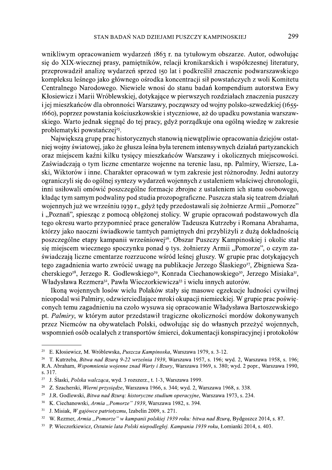wnikliwym opracowaniem wydarzeń 1863 r. na tytułowym obszarze. Autor, odwołując się do XIX-wiecznej prasy, pamiętników, relacji kronikarskich i współczesnej literatury, przeprowadził analize wydarzeń sprzed 150 lat i podkreślił znaczenie podwarszawskiego kompleksu leśnego jako głównego ośrodka koncentracji sił powstańczych z woli Komitetu Centralnego Narodowego. Niewiele wnosi do stanu badań kompendium autorstwa Ewy Kłosiewicz i Marii Wróblewskiej, dotykające w pierwszych rozdziałach znaczenia puszczy i jej mieszkańców dla obronności Warszawy, począwszy od wojny polsko-szwedzkiej (1655-1660), poprzez powstania kościuszkowskie i styczniowe, aż do upadku powstania warszawskiego. Warto jednak sięgnąć do tej pracy, gdyż porządkuje ona ogólną wiedzę w zakresie problematyki powstańczej<sup>25</sup>.

Największą grupę prac historycznych stanowią niewątpliwie opracowania dziejów ostatniej wojny światowej, jako że głusza leśna była terenem intensywnych działań partyzanckich oraz miejscem kaźni kilku tysięcy mieszkańców Warszawy i okolicznych miejscowości. Zaświadczają o tym liczne cmentarze wojenne na terenie lasu, np. Palmiry, Wiersze, Laski, Wiktorów i inne. Charakter opracowań w tym zakresie jest różnorodny. Jedni autorzy ograniczyli się do ogólnej syntezy wydarzeń wojennych z ustaleniem właściwej chronologii, inni usiłowali omówić poszczególne formacje zbrojne z ustaleniem ich stanu osobowego, kładąc tym samym podwaliny pod studia prozopograficzne. Puszcza stała się teatrem działań wojennych już we wrześniu 1939 r., gdyż tędy przedostawali się żołnierze Armii "Pomorze" i "Poznań", spiesząc z pomocą oblężonej stolicy. W grupie opracowań podstawowych dla tego okresu warto przypomnieć prace generałów Tadeusza Kutrzeby i Romana Abrahama, którzy jako naoczni świadkowie tamtych pamiętnych dni przybliżyli z dużą dokładnością poszczególne etapy kampanii wrześniowej<sup>26</sup>. Obszar Puszczy Kampinoskiej i okolic stał się miejscem wiecznego spoczynku ponad 9 tys. żołnierzy Armii "Pomorze", o czym zaświadczają liczne cmentarze rozrzucone wśród leśnej głuszy. W grupie prac dotykających tego zagadnienia warto zwrócić uwagę na publikacje Jerzego Ślaskiego<sup>27</sup>, Zbigniewa Szacherskiego<sup>28</sup>, Jerzego R. Godlewskiego<sup>29</sup>, Konrada Ciechanowskiego<sup>30</sup>, Jerzego Misiaka<sup>31</sup>, Władysława Rezmera<sup>32</sup>, Pawła Wieczorkiewicza<sup>33</sup> i wielu innych autorów.

Ikona wojennych losów wielu Polaków stały się masowe egzekucje ludności cywilnej nieopodal wsi Palmiry, odzwierciedlające mroki okupacji niemieckiej. W grupie prac poświęconych temu zagadnieniu na czoło wysuwa się opracowanie Władysława Bartoszewskiego pt. Palmiry, w którym autor przedstawił tragiczne okoliczności mordów dokonywanych przez Niemców na obywatelach Polski, odwołując się do własnych przeżyć wojennych, wspomnień osób ocalałych z transportów śmierci, dokumentacji konspiracyjnej i protokołów

<sup>25</sup> E. Kłosiewicz, M. Wróblewska, Puszcza Kampinoska, Warszawa 1979, s. 3-12.

<sup>&</sup>lt;sup>26</sup> T. Kutrzeba, Bitwa nad Bzura 9-22 września 1939, Warszawa 1957, s. 196; wyd. 2, Warszawa 1958, s. 196; R.A. Abraham, Wspomnienia wojenne znad Warty i Bzury, Warszawa 1969, s. 380; wyd. 2 popr., Warszawa 1990, s. 317.

<sup>27</sup> J. Ślaski, Polska walcząca, wyd. 3 rozszerz., t. 1-3, Warszawa 1999.

<sup>&</sup>lt;sup>28</sup> Z. Szacherski, Wierni przysiędze, Warszawa 1966, s. 344; wyd. 2, Warszawa 1968, s. 338.

<sup>29</sup> J.R. Godlewski, Bitwa nad Bzura: historyczne studium operacyjne, Warszawa 1973, s. 234.

 $30$ K. Ciechanowski, Armia "Pomorze" 1939, Warszawa 1982, s. 394.

 $31\,$ J. Misiak, W gajówce patriotyzmu, Izabelin 2009, s. 271.

<sup>32</sup> W. Rezmer, Armia "Pomorze" w kampanii polskiej 1939 roku: bitwa nad Bzura, Bydgoszcz 2014, s. 87.

<sup>33</sup> P. Wieczorkiewicz, Ostatnie lata Polski niepodległej. Kampania 1939 roku, Łomianki 2014, s. 403.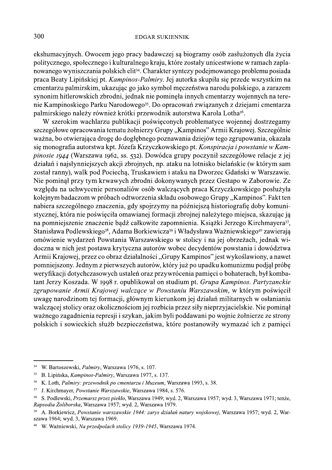ekshumacyjnych. Owocem jego pracy badawczej są biogramy osób zasłużonych dla życia politycznego, społecznego i kulturalnego kraju, które zostały unicestwione w ramach zaplanowanego wyniszczania polskich elit<sup>34</sup>. Charakter syntezy podejmowanego problemu posiada praca Beaty Lipińskiej pt. Kampinos-Palmiry. Jej autorka skupiła się przede wszystkim na cmentarzu palmirskim, ukazując go jako symbol męczeństwa narodu polskiego, a zarazem synonim hitlerowskich zbrodni, jednak nie pominęła innych cmentarzy wojennych na terenie Kampinoskiego Parku Narodowego<sup>35</sup>. Do opracowań związanych z dziejami cmentarza palmirskiego należy również krótki przewodnik autorstwa Karola Lotha<sup>36</sup>.

W szerokim wachlarzu publikacji poświęconych problematyce wojennej dostrzegamy szczegółowe opracowania tematu żołnierzy Grupy "Kampinos" Armii Krajowej. Szczególnie ważna, bo otwierająca drogę do dogłębnego poznawania dziejów tego zgrupowania, okazała się monografia autorstwa kpt. Józefa Krzyczkowskiego pt. Konspiracja i powstanie w Kampinosie 1944 (Warszawa 1962, ss. 532). Dowódca grupy poczynił szczegółowe relacje z jej działań i najsłynniejszych akcji zbrojnych, np. ataku na lotnisko bielańskie (w którym sam został ranny), walk pod Pociechą, Truskawiem i ataku na Dworzec Gdański w Warszawie. Nie pominął przy tym krwawych zbrodni dokonywanych przez Gestapo w Zaborowie. Ze względu na uchwycenie personaliów osób walczących praca Krzyczkowskiego posłużyła kolejnym badaczom w próbach odtworzenia składu osobowego Grupy "Kampinos". Fakt ten nabiera szczególnego znaczenia, gdy spojrzymy na późniejszą historiografię doby komunistycznej, która nie poświęciła omawianej formacji zbrojnej należytego miejsca, skazując ją na pomniejszenie znaczenie bądź całkowite zapomnienia. Książki Jerzego Kirchmayera<sup>37</sup>, Stanisława Podlewskiego<sup>38</sup>, Adama Borkiewicza<sup>39</sup> i Władysława Ważniewskiego<sup>40</sup> zawierają omówienie wydarzeń Powstania Warszawskiego w stolicy i na jej obrzeżach, jednak widoczna w nich jest postawa krytyczna autorów wobec decydentów powstania i dowództwa Armii Krajowej, przez co obraz działalności "Grupy Kampinos" jest wykoślawiony, a nawet pomniejszony. Jednym z pierwszych autorów, który już po upadku komunizmu podjął próbę weryfikacji dotychczasowych ustaleń oraz przywrócenia pamięci o bohaterach, był kombatant Jerzy Koszada. W 1998 r. opublikował on studium pt. Grupa Kampinos. Partyzanckie zgrupowanie Armii Krajowej walczące w Powstaniu Warszawskim, w którym poświecił uwagę narodzinom tej formacji, głównym kierunkom jej działań militarnych w osłanianiu walczącej stolicy oraz okolicznościom jej rozbicia przez siły nieprzyjacielskie. Nie pominął ważnego zagadnienia represji i szykan, jakim byli poddawani po wojnie żołnierze ze strony polskich i sowieckich służb bezpieczeństwa, które postanowiły wymazać ich z pamięci

<sup>&</sup>lt;sup>34</sup> W. Bartoszewski, Palmiry, Warszawa 1976, s. 107.

<sup>&</sup>lt;sup>35</sup> B. Lipińska, *Kampinos-Palmiry*, Warszawa 1977, s. 137.

 $36\,$ K. Loth, Palmiry: przewodnik po cmentarzu i Muzeum, Warszawa 1993, s. 38.

<sup>37</sup> J. Kirchmayer, *Powstanie Warszawskie*, Warszawa 1984, s. 576.

 $38\,$ S. Podlewski, Przemarsz przez piekło, Warszawa 1949; wyd. 2, Warszawa 1957; wyd. 3, Warszawa 1971; tenże, Rapsodia Żoliborska, Warszawa 1957; wyd. 2, Warszawa 1979.

<sup>39</sup> A. Borkiewicz, Powstanie warszawskie 1944: zarys działań natury wojskowej, Warszawa 1957; wyd. 2, Warszawa 1964; wyd. 3, Warszawa 1969.

<sup>40</sup> W. Ważniewski, Na przedpolach stolicy 1939-1945, Warszawa 1974.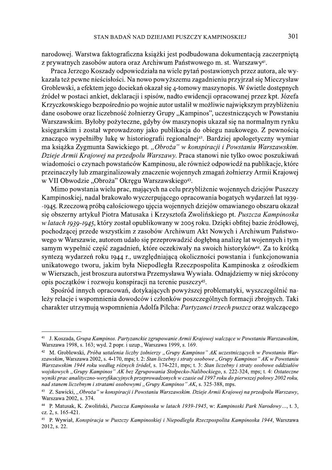narodowej. Warstwa faktograficzna książki jest podbudowana dokumentacją zaczerpniętą z prywatnych zasobów autora oraz Archiwum Państwowego m. st. Warszawy<sup>41</sup>.

Praca Jerzego Koszady odpowiedziała na wiele pytań postawionych przez autora, ale wykazała też pewne nieścisłości. Na nowo powyższemu zagadnieniu przyjrzał się Mieczysław Groblewski, a efektem jego dociekań okazał się 4-tomowy maszynopis. W świetle dostępnych źródeł w postaci ankiet, deklaracji i spisów, nadto ewidencji opracowanej przez kpt. Józefa Krzyczkowskiego bezpośrednio po wojnie autor ustalił w możliwie największym przybliżeniu dane osobowe oraz liczebność żołnierzy Grupy "Kampinos", uczestniczących w Powstaniu Warszawskim. Byłoby pożyteczne, gdyby ów maszynopis ukazał się na normalnym rynku księgarskim i został wprowadzony jako publikacja do obiegu naukowego. Z pewnością znacząco wypełniłby lukę w historiografii regionalnej<sup>42</sup>. Bardziej apologetyczny wymiar ma książka Zygmunta Sawickiego pt. "Obroża" w konspiracji i Powstaniu Warszawskim. Dzieje Armii Krajowej na przedpolu Warszawy. Praca stanowi nie tylko owoc poszukiwań wiadomości o czynach powstańców Kampinosu, ale również odpowiedź na publikacje, które przeinaczyły lub zmarginalizowały znaczenie wojennych zmagań żołnierzy Armii Krajowej w VII Obwodzie "Obroża" Okręgu Warszawskiego<sup>43</sup>.

Mimo powstania wielu prac, mających na celu przybliżenie wojennych dziejów Puszczy Kampinoskiej, nadal brakowało wyczerpującego opracowania bogatych wydarzeń lat 1939--1945. Rzeczową próbą całościowego ujęcia wojennych dziejów omawianego obszaru okazał się obszerny artykuł Piotra Matusaka i Krzysztofa Zwolińskiego pt. Puszcza Kampinoska w latach 1939-1945, który został opublikowany w 2005 roku. Dzięki obfitej bazie źródłowej, pochodzącej przede wszystkim z zasobów Archiwum Akt Nowych i Archiwum Państwowego w Warszawie, autorom udało się przeprowadzić dogłębną analizę lat wojennych i tym samym wypełnić część zagadnień, które oczekiwały na swoich historyków<sup>44</sup>. Za to krótką syntezą wydarzeń roku 1944 r., uwzględniającą okoliczności powstania i funkcjonowania unikatowego tworu, jakim była Niepodległa Rzeczpospolita Kampinoska z ośrodkiem w Wierszach, jest broszura autorstwa Przemysława Wywiała. Odnajdziemy w niej skrócony opis początków i rozwoju konspiracji na terenie puszczy<sup>45</sup>.

Spośród innych opracowań, dotykających powyższej problematyki, wyszczególnić należy relacje i wspomnienia dowodców i członków poszczególnych formacji zbrojnych. Taki charakter utrzymują wspomnienia Adolfa Pilcha: Partyzanci trzech puszcz oraz walczącego

<sup>&</sup>lt;sup>41</sup> J. Koszada, *Grupa Kampinos. Partyzanckie zgrupowanie Armii Krajowej walczace w Powstaniu Warszawskim,* Warszawa 1998, s. 163; wyd. 2 popr. i uzup., Warszawa 1999, s. 169.

<sup>&</sup>lt;sup>42</sup> M. Groblewski, Próba ustalenia liczby żołnierzy "Grupy Kampinos" AK uczestniczących w Powstaniu Warszawskim. Warszawa 2002, s. 4-170, mps. t. 2: Stan liczebny i straty osobowe "Grupy Kampinos" AK w Powstaniu Warszawskim 1944 roku według różnych źródeł, s. 174-221, mps; t. 3: Stan liczebny i straty osobowe oddziałów wojskowych "Grupy Kampinos" AK bez Zgrupowania Stołpecko-Nalibockiego, s. 222-324, mps; t. 4: Ostateczne wyniki prac analityczno-weryfikacyjnych przeprowadzonych w czasie od 1997 roku do pierwszej połowy 2002 roku, nad stanem liczebnym i stratami osobowymi "Grupy Kampinos" AK, s. 325-388, mps.

<sup>&</sup>lt;sup>43</sup> Z. Sawicki, "Obroża" w konspiracji i Powstaniu Warszawskim. Dzieje Armii Krajowej na przedpolu Warszawy, Warszawa 2002, s. 374.

<sup>&</sup>lt;sup>44</sup> P. Matusak, K. Zwoliński, Puszcza Kampinoska w latach 1939-1945, w: Kampinoski Park Narodowy..., t. 3, cz. 2, s. 165-421.

<sup>&</sup>lt;sup>45</sup> P. Wywiał, Konspiracja w Puszczy Kampinoskiej i Niepodległa Rzeczpospolita Kampinoska 1944, Warszawa  $2012. s. 22.$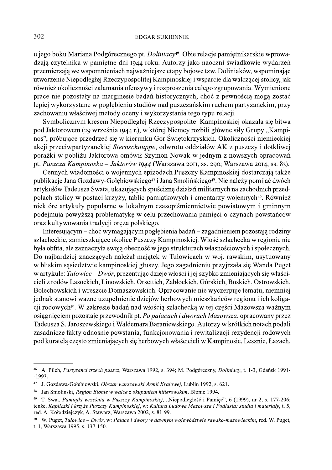u jego boku Mariana Podgórecznego pt. Doliniacy<sup>46</sup>. Obie relacje pamiętnikarskie wprowadzają czytelnika w pamiętne dni 1944 roku. Autorzy jako naoczni świadkowie wydarzeń przemierzają we wspomnieniach najważniejsze etapy bojowe tzw. Doliniaków, wspominając utworzenie Niepodległej Rzeczypospolitej Kampinoskiej i wsparcie dla walczącej stolicy, jak również okoliczności załamania ofensywy i rozproszenia całego zgrupowania. Wymienione prace nie pozostały na marginesie badań historycznych, choć z pewnością mogą zostać lepiej wykorzystane w pogłębieniu studiów nad puszczańskim ruchem partyzanckim, przy zachowaniu właściwej metody oceny i wykorzystania tego typu relacji.

Symbolicznym kresem Niepodległej Rzeczypospolitej Kampinoskiej okazała się bitwa pod Jaktorowem (29 września 1944 r.), w której Niemcy rozbili główne siły Grupy "Kampinos", próbujące przedrzeć się w kierunku Gór Świętokrzyskich. Okoliczności niemieckiej akcji przeciwpartyzanckiej Sternschnuppe, odwrotu oddziałów AK z puszczy i dotkliwej porażki w pobliżu Jaktorowa omówił Szymon Nowak w jednym z nowszych opracowań pt. Puszcza Kampinoska – Jaktorów 1944 (Warszawa 2011, ss. 290; Warszawa 2014, ss. 83).

Cennych wiadomości o wojennych epizodach Puszczy Kampinoskiej dostarczają także publikacje Jana Gozdawy-Gołębiowskiego<sup>47</sup> i Jana Smolińskiego<sup>48</sup>. Nie należy pomijać dwóch artykułów Tadeusza Swata, ukazujących spuściznę działań militarnych na zachodnich przedpolach stolicy w postaci krzyży, tablic pamiątkowych i cmentarzy wojennych<sup>49</sup>. Również niektóre artykuły popularne w lokalnym czasopiśmiennictwie powiatowym i gminnym podejmują powyższą problematykę w celu przechowania pamięci o czynach powstańców oraz kultywowania tradycji oręża polskiego.

Interesującym – choć wymagającym pogłębienia badań – zagadnieniem pozostają rodziny szlacheckie, zamieszkujące okolice Puszczy Kampinoskiej. Włość szlachecka w regionie nie była obfita, ale zaznaczyła swoją obecność w jego strukturach własnościowych i społecznych. Do najbardziej znaczących należał majątek w Tułowicach w woj. rawskim, usytuowany w bliskim sąsiedztwie kampinoskiej głuszy. Jego zagadnieniu przyjrzała się Wanda Puget w artykule: Tułowice – Dwór, prezentując dzieje włości i jej szybko zmieniających się właścicieli z rodów Lasockich, Linowskich, Orsettich, Zabłockich, Górskich, Boskich, Ostrowskich, Bolechowskich i wreszcie Domaszowskich. Opracowanie nie wyczerpuje tematu, niemniej jednak stanowi ważne uzupełnienie dziejów herbowych mieszkańców regionu i ich koligacji rodowych<sup>50</sup>. W zakresie badań nad włością szlachecką w tej części Mazowsza ważnym osiągnieciem pozostaje przewodnik pt. Po pałacach i dworach Mazowsza, opracowany przez Tadeusza S. Jaroszewskiego i Waldemara Baraniewskiego. Autorzy w krótkich notach podali zasadnicze fakty odnośnie powstania, funkcjonowania i rewitalizacji rezydencji rodowych pod kuratelą często zmieniających się herbowych właścicieli w Kampinosie, Lesznie, Łazach,

 $46\,$ A. Pilch, Partyzanci trzech puszcz, Warszawa 1992, s. 394; M. Podgóreczny, Doliniacy, t. 1-3, Gdańsk 1991- $-1993.$ 

<sup>47</sup> J. Gozdawa-Gołębiowski, Obszar warszawski Armii Krajowej, Lublin 1992, s. 621.

 $48\,$ Jan Smoliński, Region Błonie w walce z okupantem hitlerowskim, Błonie 1994.

<sup>49</sup> T. Swat, Pamiątki września w Puszczy Kampinoskiej, "Niepodległość i Pamięć", 6 (1999), nr 2, s. 177-206; tenże, Kapliczki i krzyże Puszczy Kampinoskiej, w: Kultura Ludowa Mazowsza i Podlasia: studia i materiały, t. 5, red. A. Kołodziejczyk, A. Stawarz, Warszawa 2002, s. 81-99.

<sup>50</sup> W. Puget, Tułowice – Dwór, w: Pałace i dwory w dawnym województwie rawsko-mazowieckim, red. W. Puget, t. 1, Warszawa 1995, s. 137-150.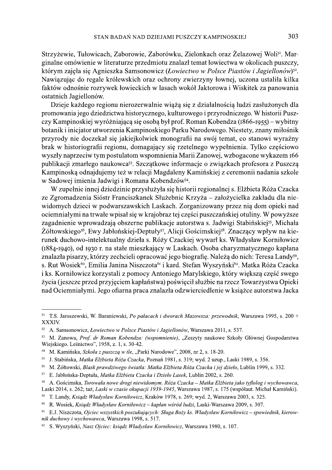Strzyżewie, Tułowicach, Zaborowie, Zaborówku, Zielonkach oraz Żelazowej Wolis<sup>1</sup>. Marginalne omówienie w literaturze przedmiotu znalazł temat łowiectwa w okolicach puszczy, którym zajęła się Agnieszka Samsonowicz (Łowiectwo w Polsce Piastów i Jagiellonów)<sup>52</sup>. Nawiązując do regale królewskich oraz ochrony zwierzyny łownej, uczona ustaliła kilka faktów odnośnie rozrywek łowieckich w lasach wokół Jaktorowa i Wiskitek za panowania ostatnich Jagiellonów.

Dzieje każdego regionu nierozerwalnie wiążą się z działalnością ludzi zasłużonych dla promowania jego dziedzictwa historycznego, kulturowego i przyrodniczego. W historii Puszczy Kampinoskiej wyróżniająca się osoba był prof. Roman Kobendza (1866-1955) – wybitny botanik i inicjator utworzenia Kampinoskiego Parku Narodowego. Niestety, znany miłośnik przyrody nie doczekał się jakiejkolwiek monografii na swój temat, co stanowi wyraźny brak w historiografii regionu, domagający się rzetelnego wypełnienia. Tylko częściowo wyszły naprzeciw tym postulatom wspomnienia Marii Zanowej, wzbogacone wykazem 166 publikacji zmarłego naukowca<sup>53</sup>. Szczątkowe informacje o związkach profesora z Puszczą Kampinoską odnajdujemy też w relacji Magdaleny Kamińskiej z ceremonii nadania szkole w Sadowej imienia Jadwigi i Romana Kobendzów<sup>54</sup>.

W zupełnie innej dziedzinie przysłużyła się historii regionalnej s. Elżbieta Róża Czacka ze Zgromadzenia Sióstr Franciszkanek Służebnic Krzyża – założycielka zakładu dla niewidomych dzieci w podwarszawskich Laskach. Zorganizowany przez nią dom opieki nad ociemniałymi na trwałe wpisał się w krajobraz tej części puszczańskiej otuliny. W powyższe zagadnienie wprowadzają obszerne publikacje autorstwa s. Jadwigi Stabińskiej<sup>55</sup>, Michała Żółtowskiego<sup>56</sup>, Ewy Jabłońskiej-Deptuły<sup>57</sup>, Alicji Gościmskiej<sup>58</sup>. Znaczący wpływ na kierunek duchowo-intelektualny dzieła s. Róży Czackiej wywarł ks. Władysław Korniłowicz (1884-1940), od 1930 r. na stałe mieszkający w Laskach. Osoba charyzmatycznego kapłana znalazła pisarzy, którzy zechcieli opracować jego biografię. Należą do nich: Teresa Landy<sup>59</sup>, s. Rut Wosiek<sup>60</sup>, Emilia Janina Niszczota<sup>61</sup> i kard. Stefan Wyszyński<sup>62</sup>. Matka Róża Czacka i ks. Korniłowicz korzystali z pomocy Antoniego Marylskiego, który większą część swego życia (jeszcze przed przyjęciem kapłaństwa) poświęcił służbie na rzecz Towarzystwa Opieki nad Ociemniałymi. Jego ofiarna praca znalazła odzwierciedlenie w książce autorstwa Jacka

<sup>&</sup>lt;sup>51</sup> T.S. Jaroszewski, W. Baraniewski, Po pałacach i dworach Mazowsza: przewodnik, Warszawa 1995, s. 200 + XXXIV.

<sup>52</sup> A. Samsonowicz, Łowiectwo w Polsce Piastów i Jagiellonów, Warszawa 2011, s. 537.

<sup>&</sup>lt;sup>53</sup> M. Zanowa, Prof. dr Roman Kobendza: (wspomnienie), "Zeszyty naukowe Szkoły Głównej Gospodarstwa Wiejskiego. Leśnictwo", 1958, z. 1, s. 30-42.

<sup>54</sup> M. Kamińska, Szkoła z puszczą w tle, "Parki Narodowe", 2008, nr 2, s. 18-20.

<sup>55</sup> J. Stabińska, Matka Elżbieta Róża Czacka, Poznań 1981, s. 319; wyd. 2 uzup., Laski 1989, s. 356.

<sup>56</sup> M. Żółtowski, Blask prawdziwego światła: Matka Elżbieta Róża Czacka i jej dzieło, Lublin 1999, s. 332.

<sup>&</sup>lt;sup>57</sup> E. Jabłońska-Deptuła, Matka Elżbieta Czacka i Dzieło Lasek, Lublin 2002, s. 260.

<sup>&</sup>lt;sup>58</sup> A. Gościmska, Torowała nowe drogi niewidomym. Róża Czacka – Matka Elżbieta jako tyflolog i wychowawca. Laski 2014, s. 262; taż, Laski w czasie okupacji 1939-1945, Warszawa 1987, s. 175 (współaut. Michał Kamiński).

<sup>59</sup> T. Landy, Ksiądz Władysław Korniłowicz, Kraków 1978, s. 269; wyd. 2, Warszawa 2003, s. 325.

 $60\,$ R. Wosiek, Ksiądz Władysław Korniłowicz – kapłan wśród ludzi, Laski-Warszawa 2009, s. 307.

<sup>61</sup> E.J. Niszczota, Ojciec wszystkich poszukujących: Sługa Boży ks. Władysław Korniłowicz – spowiednik, kierownik duchowy i wychowawca, Warszawa 1998, s. 517.

<sup>&</sup>lt;sup>62</sup> S. Wyszyński, Nasz Ojciec: ksiadz Władysław Korniłowicz, Warszawa 1980, s. 107.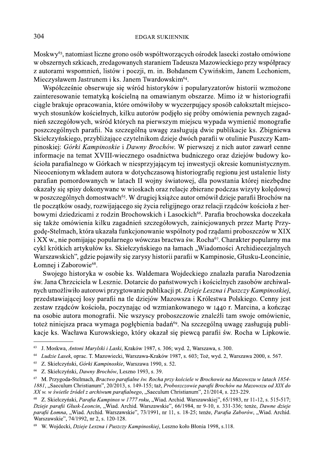Moskwy<sup>63</sup>, natomiast liczne grono osób współtworzących ośrodek lasecki zostało omówione w obszernych szkicach, zredagowanych staraniem Tadeusza Mazowieckiego przy współpracy z autorami wspomnień, listów i poezji, m. in. Bohdanem Cywińskim, Janem Lechoniem, Mieczysławem Jastrunem i ks. Janem Twardowskim<sup>64</sup>.

Współcześnie obserwuje się wśród historyków i popularyzatorów historii wzmożone zainteresowanie tematyką kościelną na omawianym obszarze. Mimo iż w historiografii ciągle brakuje opracowania, które omówiłoby w wyczerpujący sposób całokształt miejscowych stosunków kościelnych, kilku autorów podjęło się próby omówienia pewnych zagadnień szczegółowych, wśród których na pierwszym miejscu wypada wymienić monografie poszczególnych parafii. Na szczególną uwagę zasługują dwie publikacje ks. Zbigniewa Skiełczyńskiego, przybliżające czytelnikom dzieje dwóch parafii w otulinie Puszczy Kampinoskiej: Górki Kampinoskie i Dawny Brochów. W pierwszej z nich autor zawarł cenne informacje na temat XVIII-wiecznego osadnictwa budniczego oraz dziejów budowy kościoła parafialnego w Górkach w niesprzyjającym tej inwestycji okresie komunistycznym. Nieocenionym wkładem autora w dotychczasową historiografię regionu jest ustalenie listy parafian pomordowanych w latach II wojny światowej, dla powstania której niezbędne okazały się spisy dokonywane w wioskach oraz relacje zbierane podczas wizyty kolędowej w poszczególnych domostwach<sup>65</sup>. W drugiej książce autor omówił dzieje parafii Brochów na tle początków osady, rozwijającego się życia religijnego oraz relacji rządców kościoła z herbowymi dziedzicami z rodzin Brochowskich i Lasockich<sup>66</sup>. Parafia brochowska doczekała się także omówienia kilku zagadnień szczegółowych, zainicjowanych przez Martę Przygodę-Stelmach, która ukazała funkcjonowanie wspólnoty pod rządami proboszczów w XIX i XX w., nie pomijając popularnego wówczas bractwa św. Rocha<sup>67</sup>. Charakter popularny ma cykl krótkich artykułów ks. Skiełczyńskiego na łamach "Wiadomości Archidiecezjalnych Warszawskich", gdzie pojawiły się zarysy historii parafii w Kampinosie, Głusku-Leoncinie, Łomnej i Zaborowie<sup>68</sup>.

Swojego historyka w osobie ks. Waldemara Wojdeckiego znalazła parafia Narodzenia św. Jana Chrzciciela w Lesznie. Dotarcie do państwowych i kościelnych zasobów archiwalnych umożliwiło autorowi przygtowanie publikacji pt. Dzieje Leszna i Puszczy Kampinoskiej, przedstawiającej losy parafii na tle dziejów Mazowsza i Królestwa Polskiego. Cenny jest zestaw rządców kościoła, poczynając od wzmiankowanego w 1440 r. Marcina, a kończąc na osobie autora monografii. Nie wszyscy proboszczowie znaleźli tam swoje omówienie, toteż niniejsza praca wymaga pogłębienia badań<sup>69</sup>. Na szczególną uwagę zasługują publikacje ks. Wacława Kurowskiego, który okazał się piewcą parafii św. Rocha w Lipkowie.

<sup>63</sup> J. Moskwa, Antoni Marylski i Laski, Kraków 1987, s. 306; wyd. 2, Warszawa, s. 300.

<sup>64</sup> Ludzie Lasek, oprac. T. Mazowiecki, Warszawa-Kraków 1987, s. 603; Toż, wyd. 2, Warszawa 2000, s. 567.

<sup>65</sup> Z. Skiełczyński, Górki Kampinoskie, Warszawa 1990, s. 52.

<sup>66</sup> Z. Skiełczyński, Dawny Brochów, Leszno 1993, s. 39.

<sup>67</sup> M. Przygoda-Stelmach, Bractwo parafialne św. Rocha przy kościele w Brochowie na Mazowszu w latach 1854-1881, "Saeculum Christianum", 20/2013, s. 149-155; taż, Proboszczowie parafii Brochów na Mazowszu od XIX do XX w. w świetle źródeł z archiwum parafialnego, "Saeculum Christianum", 21/2014, s. 223-229.

Z. Skiełczyński, Parafia Kampinos w 1777 roku, "Wiad. Archid. Warszawskiej", 65/1983, nr 11-12, s. 515-517; Dzieje parafii Głusk-Leoncin, "Wiad. Archid. Warszawskie", 66/1984, nr 9-10, s. 331-336; tenże, Dawne dzieje parafii Łomna, "Wiad. Archid. Warszawskie", 73/1991, nr 11, s. 18-25; tenże, Parafia Zaborów, "Wiad. Archid. Warszawskie", 74/1992, nr 2, s. 120-128.

<sup>&</sup>lt;sup>69</sup> W. Wojdecki, *Dzieje Leszna i Puszczy Kampinoskiej*, Leszno koło Błonia 1998, s.118.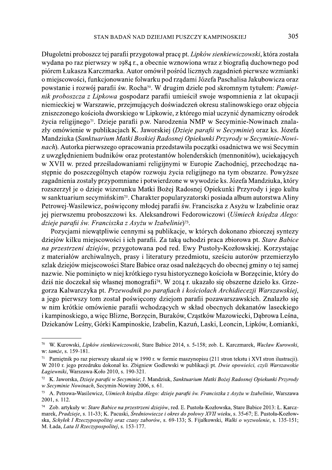Długoletni proboszcz tej parafii przygotował pracę pt. Lipków sienkiewiczowski, która została wydana po raz pierwszy w 1984 r., a obecnie wznowiona wraz z biografią duchownego pod piórem Łukasza Karczmarka. Autor omówił pośród licznych zagadnień pierwsze wzmianki o miejscowości, funkcjonowanie folwarku pod rządami Józefa Paschalisa Jakubowicza oraz powstanie i rozwój parafii św. Rocha<sup>70</sup>. W drugim dziele pod skromnym tytułem: Pamiętnik proboszcza z Lipkowa gospodarz parafii umieścił swoje wspomnienia z lat okupacji niemieckiej w Warszawie, przejmujących doświadczeń okresu stalinowskiego oraz objęcia zniszczonego kościoła dworskiego w Lipkowie, z którego miał uczynić dynamiczny ośrodek życia religijnego<sup>71</sup>. Dzieje parafii p.w. Narodzenia NMP w Secyminie-Nowinach znalazły omówienie w publikacjach K. Jaworskiej (Dzieje parafii w Secyminie) oraz ks. Józefa Mandziuka (Sanktuarium Matki Boskiej Radosnej Opiekunki Przyrody w Secyminie-Nowinach). Autorka pierwszego opracowania przedstawiła początki osadnictwa we wsi Secymin z uwzględnieniem budników oraz protestantów holenderskich (mennonitów), uciekających w XVII w. przed prześladowaniami religijnymi w Europie Zachodniej, przechodząc nastepnie do poszczególnych etapów rozwoju życia religijnego na tym obszarze. Powyższe zagadnienia zostały przypomniane i potwierdzone w wywodzie ks. Józefa Mandziuka, który rozszerzył je o dzieje wizerunku Matki Bożej Radosnej Opiekunki Przyrody i jego kultu w sanktuarium secymińskim<sup>72</sup>. Charakter popularyzatorski posiada album autorstwa Aliny Petrowej-Wasilewicz, poświęcony młodej parafii św. Franciszka z Asyżu w Izabelinie oraz jej pierwszemu proboszczowi ks. Aleksandrowi Fedorowiczowi (Uśmiech księdza Alego: dzieje parafii św. Franciszka z Asyżu w Izabelinie)<sup>73</sup>.

Pozycjami niewatpliwie cennymi są publikacje, w których dokonano zbiorczej syntezy dziejów kilku miejscowości i ich parafii. Za taką uchodzi praca zbiorowa pt. Stare Babice na przestrzeni dziejów, przygotowana pod red. Ewy Pustoły-Kozłowskiej. Korzystając z materiałów archiwalnych, prasy i literatury przedmiotu, sześciu autorów przemierzyło szlak dziejów miejscowości Stare Babice oraz osad należących do obecnej gminy o tej samej nazwie. Nie pominięto w niej krótkiego rysu historycznego kościoła w Borzecinie, który do dziś nie doczekał się własnej monografii<sup>74</sup>. W 2014 r. ukazało się obszerne dzieło ks. Grzegorza Kalwarczyka pt. Przewodnik po parafiach i kościołach Archidiecezji Warszawskiej, a jego pierwszy tom został poświęcony dziejom parafii pozawarszawskich. Znalazło się w nim krótkie omówienie parafii wchodzących w skład obecnych dekanatów laseckiego i kampinoskiego, a więc Blizne, Borzęcin, Buraków, Cząstków Mazowiecki, Dąbrowa Leśna, Dziekanów Leśny, Górki Kampinoskie, Izabelin, Kazuń, Laski, Leoncin, Lipków, Łomianki,

<sup>70</sup> W. Kurowski, Lipków sienkiewiczowski, Stare Babice 2014, s. 5-158; zob. Ł. Karczmarek, Wacław Kurowski, w: tamże, s. 159-181.

<sup>&</sup>lt;sup>71</sup> Pamietnik po raz pierwszy ukazał się w 1990 r. w formie maszynopisu (211 stron tekstu i XVI stron ilustracji). W 2010 r. jego przedruku dokonał ks. Zbigniew Godlewski w publikacji pt. Dwie opowieści, czyli Warszawskie Łagiewniki, Warszawa-Koło 2010, s. 190-321.

<sup>72</sup> K. Jaworska, Dzieje parafii w Secyminie; J. Mandziuk, Sanktuarium Matki Bożej Radosnej Opiekunki Przyrody w Secyminie Nowinach, Secymin-Nowiny 2006, s. 61.

 $73$ A. Petrowa-Wasilewicz, Uśmiech księdza Alego: dzieje parafii św. Franciszka z Asyżu w Izabelinie, Warszawa 2001, s. 112.

<sup>74</sup> Zob. artykuły w: Stare Babice na przestrzeni dziejów, red. E. Pustoła-Kozłowska, Stare Babice 2013: Ł. Karczmarek, Pradzieje, s. 11-33; K. Pacuski, Średniowiecze i okres do połowy XVII wieku, s. 35-67; E. Pustoła-Kozłowska, Schylek I Rzeczypospolitej oraz czasy zaborów, s. 69-133; S. Fijałkowski, Walki o wyzwolenie, s. 135-151; M. Łada, Lata II Rzeczypospolitej, s. 153-177.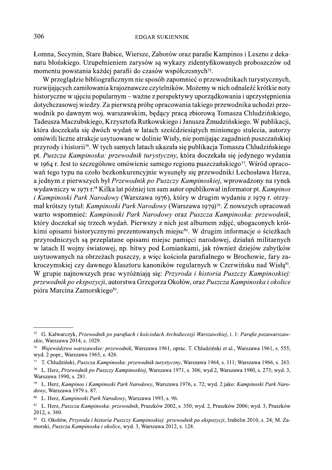#### **EDGAR SUKIENNIK**

Łomna, Secymin, Stare Babice, Wiersze, Zaborów oraz parafie Kampinos i Leszno z dekanatu błońskiego. Uzupełnieniem zarysów są wykazy zidentyfikowanych proboszczów od momentu powstania każdej parafii do czasów współczesnych<sup>75</sup>.

W przeglądzie bibliograficznym nie sposób zapomnieć o przewodnikach turystycznych, rozwijających zamiłowania krajoznawcze czytelników. Możemy w nich odnaleźć krótkie noty historyczne w ujęciu popularnym – ważne z perspektywy uporządkowania i uprzystępnienia dotychczasowej wiedzy. Za pierwszą próbę opracowania takiego przewodnika uchodzi przewodnik po dawnym woj. warszawskim, będący pracą zbiorową Tomasza Chludzińskiego, Tadeusza Maczubskiego, Krzysztofa Rutkowskiego i Janusza Żmudzińskiego. W publikacji, która doczekała się dwóch wydań w latach sześćdziesiątych minionego stulecia, autorzy omówili liczne atrakcje usytuowane w dolinie Wisły, nie pomijając zagadnień puszczańskiej przyrody i historii<sup>76</sup>. W tych samych latach ukazała się publikacja Tomasza Chludzińskiego pt. Puszcza Kampinoska: przewodnik turystyczny, która doczekała się jedynego wydania w 1964 r. Jest to szczegółowe omówienie samego regionu puszczańskiego<sup>77</sup>. Wśród opracowań tego typu na czoło bezkonkurencyjnie wysunęły się przewodniki Lechosława Herza, a jednym z pierwszych był Przewodnik po Puszczy Kampinoskiej, wprowadzony na rynek wydawniczy w 1971 r.<sup>78</sup> Kilka lat później ten sam autor opublikował informator pt. Kampinos *i Kampinoski Park Narodowy* (Warszawa 1976), który w drugim wydaniu z 1979 r. otrzymał krótszy tytuł: Kampinoski Park Narodowy (Warszawa 1979)<sup>79</sup>. Z nowszych opracowań warto wspomnieć: Kampinoski Park Narodowy oraz Puszcza Kampinoska: przewodnik, który doczekał się trzech wydań. Pierwszy z nich jest albumem zdjęć, ubogaconych krótkimi opisami historycznymi prezentowanych miejsc<sup>80</sup>. W drugim informacje o ścieżkach przyrodniczych są przeplatane opisami miejsc pamięci narodowej, działań militarnych w latach II wojny światowej, np. bitwy pod Łomiankami, jak również dziejów zabytków usytuowanych na obrzeżach puszczy, a więc kościoła parafialnego w Brochowie, fary zakroczymskiej czy dawnego klasztoru kanoników regularnych w Czerwińsku nad Wisłą<sup>81</sup>. W grupie najnowszych prac wyróżniają się: Przyroda i historia Puszczy Kampinoskiej: przewodnik po ekspozycji, autorstwa Grzegorza Okołów, oraz Puszcza Kampinoska i okolice pióra Marcina Zamorskiego<sup>82</sup>.

<sup>&</sup>lt;sup>75</sup> G. Kalwarczyk, Przewodnik po parafiach i kościołach Archidiecezji Warszawskiej, t. 1: Parafie pozawarszawskie, Warszawa 2014, s. 1029.

Województwo warszawskie: przewodnik, Warszawa 1961, oprac. T. Chludziński et al., Warszawa 1961, s. 555; wyd. 2 popr., Warszawa 1965, s. 426.

<sup>77</sup> T. Chludziński, Puszcza Kampinoska: przewodnik turystyczny, Warszawa 1964, s. 111; Warszawa 1966, s. 263.

 $78\,$ L. Herz, Przewodnik po Puszczy Kampinoskiej, Warszawa 1971, s. 306; wyd 2, Warszawa 1980, s. 273; wyd. 3, Warszawa 1990, s. 281.

<sup>79</sup> L. Herz, Kampinos i Kampinoski Park Narodowy, Warszawa 1976, s. 72; wyd. 2 jako: Kampinoski Park Narodowy, Warszawa 1979 s. 87.

<sup>80</sup> L. Herz, Kampinoski Park Narodowy, Warszawa 1993, s. 96.

<sup>81</sup> L. Herz, Puszcza Kampinoska: przewodnik, Pruszków 2002, s. 350; wyd. 2, Pruszków 2006; wyd. 3, Pruszków 2012, s. 360.

<sup>&</sup>lt;sup>82</sup> G. Okołów, Przyroda i historia Puszczy Kampinoskiej: przewodnik po ekspozycji, Izabelin 2010, s. 24; M. Zamorski, Puszcza Kampinoska i okolice, wyd. 3, Warszawa 2012, s. 128.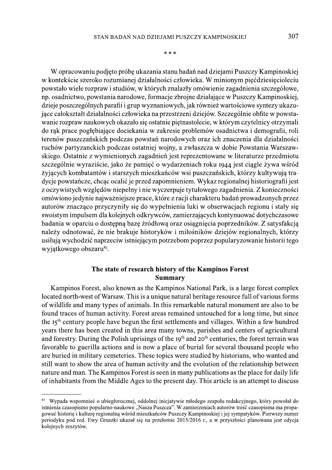307

\* \* \*

W opracowaniu podjeto próbe ukazania stanu badań nad dziejami Puszczy Kampinoskiej w kontekście szeroko rozumianej działalności człowieka. W minionym pięćdziesięcioleciu powstało wiele rozpraw i studiów, w których znalazły omówienie zagadnienia szczegółowe, np. osadnictwo, powstania narodowe, formacje zbrojne działające w Puszczy Kampinoskiej, dzieje poszczególnych parafii i grup wyznaniowych, jak również wartościowe syntezy ukazujace całokształt działalności człowieka na przestrzeni dziejów. Szczególnie obfite w powstawanie rozpraw naukowych okazało się ostatnie piętnastolecie, w którym czytelnicy otrzymali do rak prace pogłębiające dociekania w zakresie problemów osadnictwa i demografii, roli terenów puszczańskich podczas powstań narodowych oraz ich znaczenia dla działalności ruchów partyzanckich podczas ostatniej wojny, a zwłaszcza w dobie Powstania Warszawskiego. Ostatnie z wymienionych zagadnień jest reprezentowane w literaturze przedmiotu szczególnie wyraziście, jako że pamieć o wydarzeniach roku 1944 jest ciągle żywa wśród żyjących kombatantów i starszych mieszkańców wsi puszczańskich, którzy kultywują tradycje powstańcze, chcąc ocalić je przed zapomnieniem. Wykaz regionalnej historiografii jest z oczywistych względów niepełny i nie wyczerpuje tytułowego zagadnienia. Z konieczności omówiono jedynie najważniejsze prace, które z racji charakteru badań prowadzonych przez autorów znacząco przyczyniły się do wypełnienia luki w obserwacjąch regionu i stały się swoistym impulsem dla kolejnych odkrywców, zamierzających kontynuować dotychczasowe badania w oparciu o dostępna bazę źródłowa oraz osiągniecia poprzedników. Z satysfakcja należy odnotować, że nie brakuje historyków i miłośników dziejów regionalnych, którzy usiłują wychodzić naprzeciw istniejącym potrzebom poprzez popularyzowanie historii tego wyjątkowego obszaru<sup>83</sup>.

## The state of research history of the Kampinos Forest **Summary**

Kampinos Forest, also known as the Kampinos National Park, is a large forest complex located north-west of Warsaw. This is a unique natural heritage resource full of various forms of wildlife and many types of animals. In this remarkable natural monument are also to be found traces of human activity. Forest areas remained untouched for a long time, but since the 15<sup>th</sup> century people have begun the first settlements and villages. Within a few hundred years there has been created in this area many towns, parishes and centers of agricultural and forestry. During the Polish uprisings of the 19<sup>th</sup> and 20<sup>th</sup> centuries, the forest terrain was favorable to guerilla actions and is now a place of burial for several thousand people who are buried in military cemeteries. These topics were studied by historians, who wanted and still want to show the area of human activity and the evolution of the relationship between nature and man. The Kampinos Forest is seen in many publications as the place for daily life of inhabitants from the Middle Ages to the present day. This article is an attempt to discuss

<sup>83</sup> Wypada wspomnieć o ubiegłorocznej, oddolnej iniciatywie młodego zespołu redakcyjnego, który powołał do istnienia czasopismo popularno-naukowe, Nasza Puszcza". W zamierzeniach autorów treść czasopisma ma propagować historie i kulture regionalna wśród mieszkańców Puszczy Kampinoskiej i jej sympatyków. Pierwszy numer periodyku pod red. Ewy Gruszki ukazał się na przełomie 2015/2016 r., a w przyszłości planowana jest edycja kolejnych zeszytów.